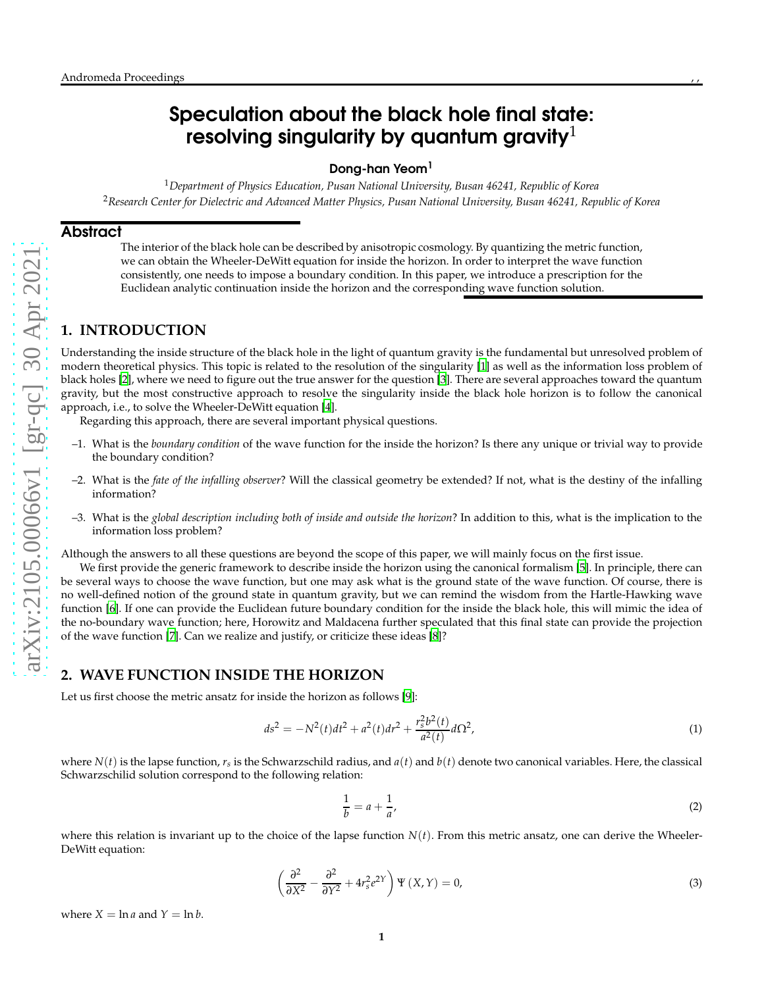# Speculation about the black hole final state: resolving singularity by quantum gravity $^{\rm 1}$

## Dong-han Yeom 1

<sup>1</sup>*Department of Physics Education, Pusan National University, Busan 46241, Republic of Korea* <sup>2</sup>*Research Center for Dielectric and Advanced Matter Physics, Pusan National University, Busan 46241, Republic of Korea*

#### **Abstract**

The interior of the black hole can be described by anisotropic cosmology. By quantizing the metric function, we can obtain the Wheeler-DeWitt equation for inside the horizon. In order to interpret the wave function consistently, one needs to impose a boundary condition. In this paper, we introduce a prescription for the Euclidean analytic continuation inside the horizon and the corresponding wave function solution.

# **1. INTRODUCTION**

Understanding the inside structure of the black hole in the light of quantum gravity is the fundamental but unresolved problem of modern theoretical physics. This topic is related to the resolution of the singularity [\[1\]](#page-2-0) as well as the information loss problem of black holes [\[2](#page-3-0)], where we need to figure out the true answer for the question [\[3\]](#page-3-1). There are several approaches toward the quantum gravity, but the most constructive approach to resolve the singularity inside the black hole horizon is to follow the canonical approach, i.e., to solve the Wheeler-DeWitt equation [\[4](#page-3-2)].

Regarding this approach, there are several important physical questions.

- –1. What is the *boundary condition* of the wave function for the inside the horizon? Is there any unique or trivial way to provide the boundary condition?
- –2. What is the *fate of the infalling observer*? Will the classical geometry be extended? If not, what is the destiny of the infalling information?
- –3. What is the *global description including both of inside and outside the horizon*? In addition to this, what is the implication to the information loss problem?

Although the answers to all these questions are beyond the scope of this paper, we will mainly focus on the first issue.

We first provide the generic framework to describe inside the horizon using the canonical formalism [\[5](#page-3-3)]. In principle, there can be several ways to choose the wave function, but one may ask what is the ground state of the wave function. Of course, there i s no well-defined notion of the ground state in quantum gravity, but we can remind the wisdom from the Hartle-Hawking wave function [\[6](#page-3-4)]. If one can provide the Euclidean future boundary condition for the inside the black hole, this will mimic the idea of the no-boundary wave function; here, Horowitz and Maldacena further speculated that this final state can provide the projection of the wave function [\[7](#page-3-5)]. Can we realize and justify, or criticize these ideas [\[8](#page-3-6)]?

# <span id="page-0-0"></span>**2. WAVE FUNCTION INSIDE THE HORIZON**

Let us first choose the metric ansatz for inside the horizon as follows [\[9\]](#page-3-7):

$$
ds^{2} = -N^{2}(t)dt^{2} + a^{2}(t)dr^{2} + \frac{r_{s}^{2}b^{2}(t)}{a^{2}(t)}d\Omega^{2},
$$
\n(1)

where  $N(t)$  is the lapse function,  $r_s$  is the Schwarzschild radius, and  $a(t)$  and  $b(t)$  denote two canonical variables. Here, the classical Schwarzschilid solution correspond to the following relation:

$$
\frac{1}{b} = a + \frac{1}{a'},\tag{2}
$$

where this relation is invariant up to the choice of the lapse function  $N(t)$ . From this metric ansatz, one can derive the Wheeler-DeWitt equation:

$$
\left(\frac{\partial^2}{\partial X^2} - \frac{\partial^2}{\partial Y^2} + 4r_s^2 e^{2Y}\right) \Psi(X, Y) = 0,
$$
\n(3)

where  $X = \ln a$  and  $Y = \ln b$ .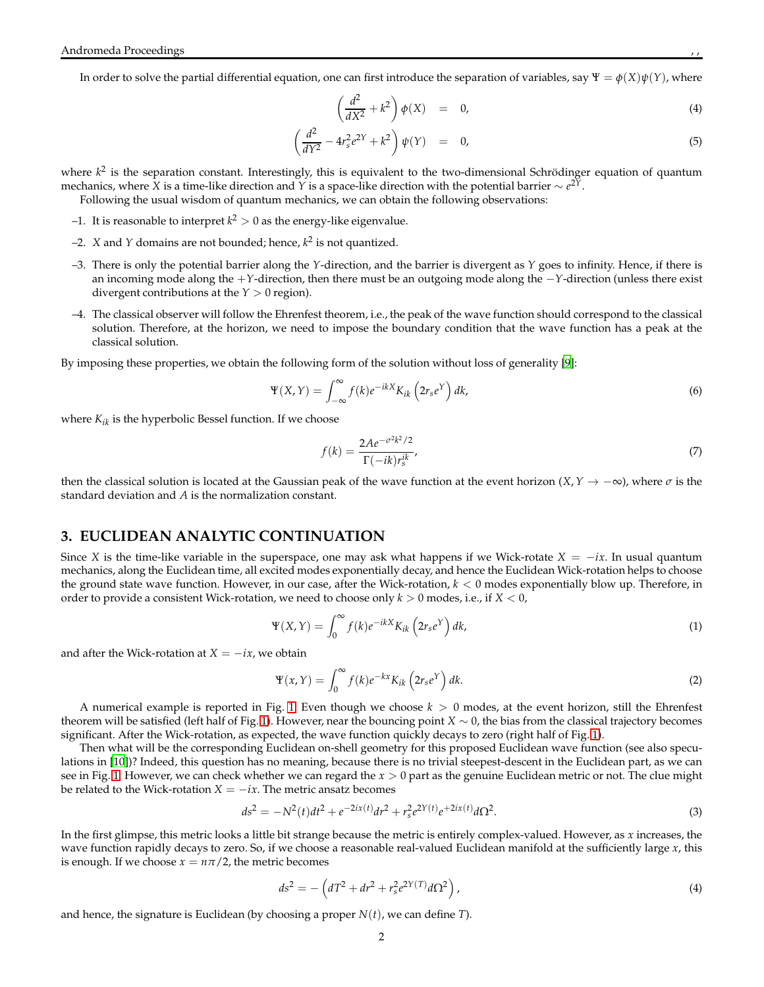In order to solve the partial differential equation, one can first introduce the separation of variables, say  $\Psi = \phi(X)\psi(Y)$ , where

$$
\left(\frac{d^2}{dX^2} + k^2\right)\phi(X) = 0,
$$
\n(4)

$$
\left(\frac{d^2}{dY^2} - 4r_s^2 e^{2Y} + k^2\right)\psi(Y) = 0, \tag{5}
$$

where  $k^2$  is the separation constant. Interestingly, this is equivalent to the two-dimensional Schrödinger equation of quantum mechanics, where *X* is a time-like direction and *Y* is a space-like direction with the potential barrier ∼ *e* <sup>2</sup>*Y*.

Following the usual wisdom of quantum mechanics, we can obtain the following observations:

- $-1$ . It is reasonable to interpret  $k^2 > 0$  as the energy-like eigenvalue.
- $-2$ . *X* and *Y* domains are not bounded; hence,  $k^2$  is not quantized.
- –3. There is only the potential barrier along the *Y*-direction, and the barrier is divergent as *Y* goes to infinity. Hence, if there is an incoming mode along the +*Y*-direction, then there must be an outgoing mode along the −*Y*-direction (unless there exist divergent contributions at the *Y* > 0 region).
- –4. The classical observer will follow the Ehrenfest theorem, i.e., the peak of the wave function should correspond to the classical solution. Therefore, at the horizon, we need to impose the boundary condition that the wave function has a peak at the classical solution.

By imposing these properties, we obtain the following form of the solution without loss of generality [\[9](#page-3-7)]:

$$
\Psi(X,Y) = \int_{-\infty}^{\infty} f(k)e^{-ikX}K_{ik}\left(2r_s e^Y\right)dk,
$$
\n(6)

where  $K_{ik}$  is the hyperbolic Bessel function. If we choose

$$
f(k) = \frac{2Ae^{-\sigma^2 k^2/2}}{\Gamma(-ik)r_s^{ik}},\tag{7}
$$

then the classical solution is located at the Gaussian peak of the wave function at the event horizon  $(X, Y \to -\infty)$ , where  $\sigma$  is the standard deviation and *A* is the normalization constant.

#### **3. EUCLIDEAN ANALYTIC CONTINUATION**

Since *X* is the time-like variable in the superspace, one may ask what happens if we Wick-rotate  $X = -ix$ . In usual quantum mechanics, along the Euclidean time, all excited modes exponentially decay, and hence the Euclidean Wick-rotation helps to choose the ground state wave function. However, in our case, after the Wick-rotation, *k* < 0 modes exponentially blow up. Therefore, in order to provide a consistent Wick-rotation, we need to choose only *k* > 0 modes, i.e., if *X* < 0,

<span id="page-1-0"></span>
$$
\Psi(X,Y) = \int_0^\infty f(k)e^{-ikX}K_{ik}\left(2r_se^Y\right)dk,\tag{1}
$$

and after the Wick-rotation at  $X = -ix$ , we obtain

<span id="page-1-1"></span>
$$
\Psi(x,Y) = \int_0^\infty f(k)e^{-kx}K_{ik}\left(2r_se^Y\right)dk.
$$
\n(2)

A numerical example is reported in Fig. [1.](#page-2-1) Even though we choose  $k > 0$  modes, at the event horizon, still the Ehrenfest theorem will be satisfied (left half of Fig. [1\)](#page-2-1). However, near the bouncing point *X* ∼ 0, the bias from the classical trajectory becomes significant. After the Wick-rotation, as expected, the wave function quickly decays to zero (right half of Fig. [1\)](#page-2-1).

Then what will be the corresponding Euclidean on-shell geometry for this proposed Euclidean wave function (see also speculations in [\[10](#page-3-8)])? Indeed, this question has no meaning, because there is no trivial steepest-descent in the Euclidean part, as we can see in Fig. [1.](#page-2-1) However, we can check whether we can regard the *x* > 0 part as the genuine Euclidean metric or not. The clue might be related to the Wick-rotation  $X = -ix$ . The metric ansatz becomes

$$
ds^{2} = -N^{2}(t)dt^{2} + e^{-2ix(t)}dr^{2} + r_{s}^{2}e^{2Y(t)}e^{+2ix(t)}d\Omega^{2}.
$$
\n(3)

In the first glimpse, this metric looks a little bit strange because the metric is entirely complex-valued. However, as *x* increases, the wave function rapidly decays to zero. So, if we choose a reasonable real-valued Euclidean manifold at the sufficiently large *x*, this is enough. If we choose  $x = n\pi/2$ , the metric becomes

$$
ds^{2} = -\left(dT^{2} + dr^{2} + r_{s}^{2}e^{2Y(T)}d\Omega^{2}\right),
$$
\n(4)

and hence, the signature is Euclidean (by choosing a proper  $N(t)$ , we can define *T*).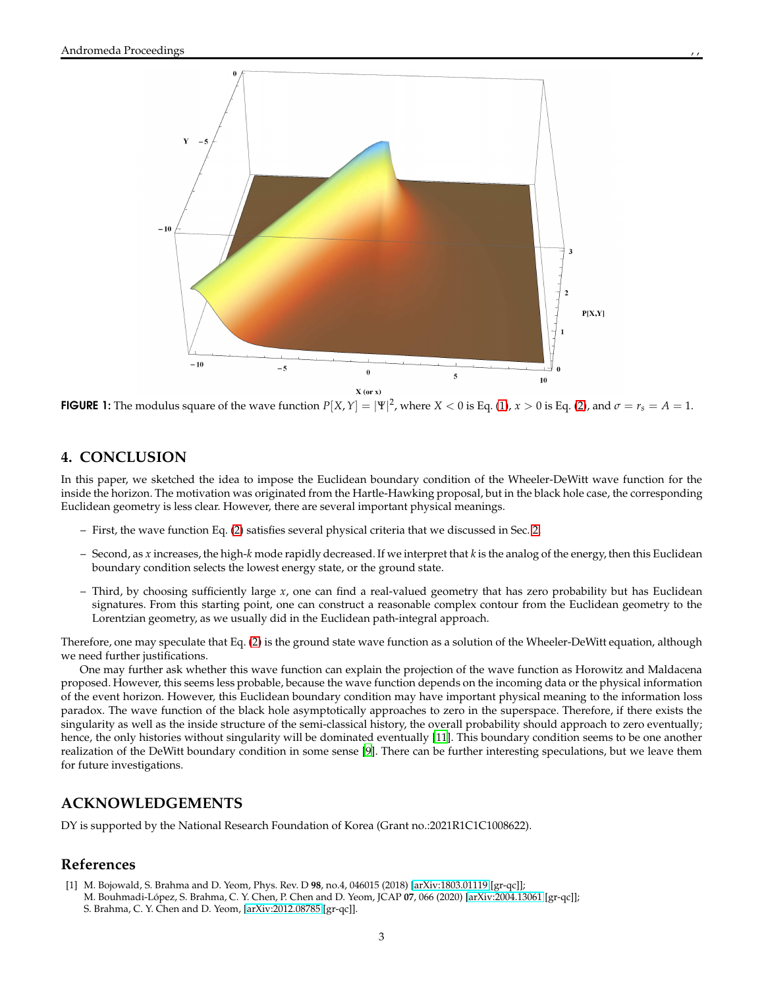$-10$ 



 $P[X,Y]$ 



**FIGURE 1:** The modulus square of the wave function  $P[X,Y] = |\Psi|^2$ , where  $X < 0$  is Eq. [\(1\)](#page-1-0),  $x > 0$  is Eq. [\(2\)](#page-1-1), and  $\sigma = r_s = A = 1$ .

### <span id="page-2-1"></span>**4. CONCLUSION**

In this paper, we sketched the idea to impose the Euclidean boundary condition of the Wheeler-DeWitt wave function for the inside the horizon. The motivation was originated from the Hartle-Hawking proposal, but in the black hole case, the corresponding Euclidean geometry is less clear. However, there are several important physical meanings.

- First, the wave function Eq. [\(2\)](#page-1-1) satisfies several physical criteria that we discussed in Sec. [2.](#page-0-0)
- Second, as *x* increases, the high-*k* mode rapidly decreased. If we interpret that *k* is the analog of the energy, then this Euclidean boundary condition selects the lowest energy state, or the ground state.
- Third, by choosing sufficiently large *x*, one can find a real-valued geometry that has zero probability but has Euclidean signatures. From this starting point, one can construct a reasonable complex contour from the Euclidean geometry to the Lorentzian geometry, as we usually did in the Euclidean path-integral approach.

Therefore, one may speculate that Eq. [\(2\)](#page-1-1) is the ground state wave function as a solution of the Wheeler-DeWitt equation, although we need further justifications.

One may further ask whether this wave function can explain the projection of the wave function as Horowitz and Maldacena proposed. However, this seems less probable, because the wave function depends on the incoming data or the physical information of the event horizon. However, this Euclidean boundary condition may have important physical meaning to the information loss paradox. The wave function of the black hole asymptotically approaches to zero in the superspace. Therefore, if there exists the singularity as well as the inside structure of the semi-classical history, the overall probability should approach to zero eventually; hence, the only histories without singularity will be dominated eventually [\[11](#page-3-9)]. This boundary condition seems to be one another realization of the DeWitt boundary condition in some sense [\[9\]](#page-3-7). There can be further interesting speculations, but we leave them for future investigations.

## **ACKNOWLEDGEMENTS**

DY is supported by the National Research Foundation of Korea (Grant no.:2021R1C1C1008622).

## **References**

<span id="page-2-0"></span>[1] M. Bojowald, S. Brahma and D. Yeom, Phys. Rev. D **98**, no.4, 046015 (2018) [\[arXiv:1803.01119](http://arxiv.org/abs/1803.01119) [gr-qc]]; M. Bouhmadi-López, S. Brahma, C. Y. Chen, P. Chen and D. Yeom, JCAP **07**, 066 (2020) [\[arXiv:2004.13061](http://arxiv.org/abs/2004.13061) [gr-qc]]; S. Brahma, C. Y. Chen and D. Yeom, [\[arXiv:2012.08785](http://arxiv.org/abs/2012.08785) [gr-qc]].